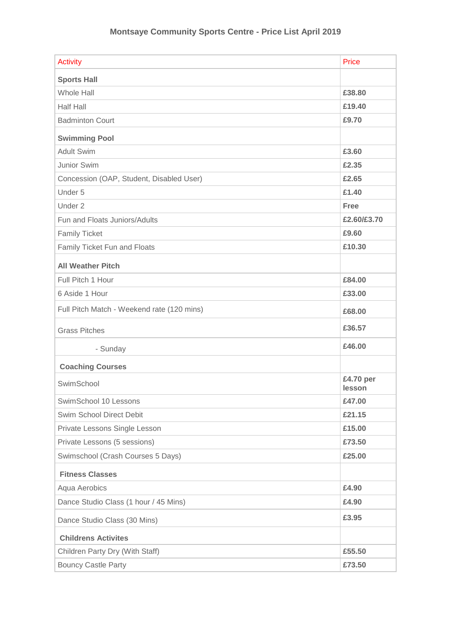| <b>Activity</b>                            | Price               |
|--------------------------------------------|---------------------|
| <b>Sports Hall</b>                         |                     |
| <b>Whole Hall</b>                          | £38.80              |
| <b>Half Hall</b>                           | £19.40              |
| <b>Badminton Court</b>                     | £9.70               |
| <b>Swimming Pool</b>                       |                     |
| <b>Adult Swim</b>                          | £3.60               |
| Junior Swim                                | £2.35               |
| Concession (OAP, Student, Disabled User)   | £2.65               |
| Under 5                                    | £1.40               |
| Under 2                                    | Free                |
| Fun and Floats Juniors/Adults              | £2.60/£3.70         |
| <b>Family Ticket</b>                       | £9.60               |
| Family Ticket Fun and Floats               | £10.30              |
| <b>All Weather Pitch</b>                   |                     |
| Full Pitch 1 Hour                          | £84.00              |
| 6 Aside 1 Hour                             | £33.00              |
| Full Pitch Match - Weekend rate (120 mins) | £68.00              |
| <b>Grass Pitches</b>                       | £36.57              |
| - Sunday                                   | £46.00              |
| <b>Coaching Courses</b>                    |                     |
| SwimSchool                                 | £4.70 per<br>lesson |
| SwimSchool 10 Lessons                      | £47.00              |
| Swim School Direct Debit                   | £21.15              |
| Private Lessons Single Lesson              | £15.00              |
| Private Lessons (5 sessions)               | £73.50              |
| Swimschool (Crash Courses 5 Days)          | £25.00              |
| <b>Fitness Classes</b>                     |                     |
| Aqua Aerobics                              | £4.90               |
| Dance Studio Class (1 hour / 45 Mins)      | £4.90               |
| Dance Studio Class (30 Mins)               | £3.95               |
| <b>Childrens Activites</b>                 |                     |
| Children Party Dry (With Staff)            | £55.50              |
| <b>Bouncy Castle Party</b>                 | £73.50              |